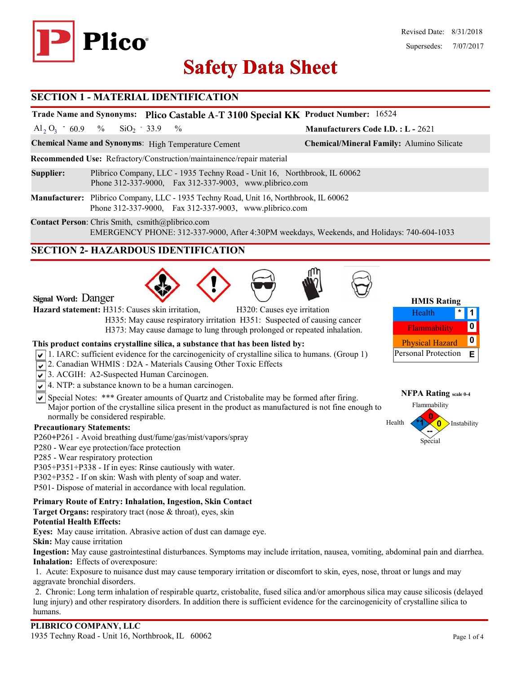

# **Safety Data Sheet Safety Data**

#### **SECTION 1 - MATERIAL IDENTIFICATION**

|                                                                                                                                                |                                                                                                                                                 | Trade Name and Synonyms: Plico Castable A-T 3100 Special KK Product Number: 16524 |                                           |  |  |  |  |
|------------------------------------------------------------------------------------------------------------------------------------------------|-------------------------------------------------------------------------------------------------------------------------------------------------|-----------------------------------------------------------------------------------|-------------------------------------------|--|--|--|--|
|                                                                                                                                                | Al <sub>2</sub> O <sub>3</sub> 60.9 % SiO <sub>2</sub> 33.9 %                                                                                   |                                                                                   | <b>Manufacturers Code I.D.: L - 2621</b>  |  |  |  |  |
|                                                                                                                                                |                                                                                                                                                 | <b>Chemical Name and Synonyms:</b> High Temperature Cement                        | Chemical/Mineral Family: Alumino Silicate |  |  |  |  |
| Recommended Use: Refractory/Construction/maintainence/repair material                                                                          |                                                                                                                                                 |                                                                                   |                                           |  |  |  |  |
| Supplier:                                                                                                                                      | Plibrico Company, LLC - 1935 Techny Road - Unit 16, Northbrook, IL 60062<br>Phone 312-337-9000, Fax 312-337-9003, www.plibrico.com              |                                                                                   |                                           |  |  |  |  |
|                                                                                                                                                | Manufacturer: Plibrico Company, LLC - 1935 Techny Road, Unit 16, Northbrook, IL 60062<br>Phone 312-337-9000, Fax 312-337-9003, www.plibrico.com |                                                                                   |                                           |  |  |  |  |
| Contact Person: Chris Smith, csmith@plibrico.com<br>EMERGENCY PHONE: 312-337-9000, After 4:30PM weekdays, Weekends, and Holidays: 740-604-1033 |                                                                                                                                                 |                                                                                   |                                           |  |  |  |  |
| <b>SECTION 2- HAZARDOUS IDENTIFICATION</b>                                                                                                     |                                                                                                                                                 |                                                                                   |                                           |  |  |  |  |
|                                                                                                                                                |                                                                                                                                                 |                                                                                   |                                           |  |  |  |  |

**Signal Word:** Danger

**Hazard statement:** H315: Causes skin irritation, H320: Causes eye irritation

 H335: May cause respiratory irritation H351: Suspected of causing cancer H373: May cause damage to lung through prolonged or repeated inhalation.

#### **This product contains crystalline silica, a substance that has been listed by:**

- $\sqrt{1}$ . IARC: sufficient evidence for the carcinogenicity of crystalline silica to humans. (Group 1)
- 2. Canadian WHMIS: D2A Materials Causing Other Toxic Effects
- 3. ACGIH: A2-Suspected Human Carcinogen.
- $\sqrt{\sqrt{4}}$ . NTP: a substance known to be a human carcinogen.
- $\overline{\mathsf{S}}$  Special Notes: \*\*\* Greater amounts of Quartz and Cristobalite may be formed after firing. Major portion of the crystalline silica present in the product as manufactured is not fine enough to normally be considered respirable.

#### **Precautionary Statements:**

- P260**+**P261 Avoid breathing dust/fume/gas/mist/vapors/spray
- P280 Wear eye protection/face protection
- P285 Wear respiratory protection
- P305+P351+P338 If in eyes: Rinse cautiously with water.
- P302+P352 If on skin: Wash with plenty of soap and water.
- P501- Dispose of material in accordance with local regulation.

### **Primary Route of Entry: Inhalation, Ingestion, Skin Contact**

**Target Organs:** respiratory tract (nose & throat), eyes, skin

### **Potential Health Effects:**

**Eyes:** May cause irritation. Abrasive action of dust can damage eye.

**Skin:** May cause irritation

**Ingestion:** May cause gastrointestinal disturbances. Symptoms may include irritation, nausea, vomiting, abdominal pain and diarrhea. **Inhalation:** Effects of overexposure:

1. Acute: Exposure to nuisance dust may cause temporary irritation or discomfort to skin, eyes, nose, throat or lungs and may aggravate bronchial disorders.

2. Chronic: Long term inhalation of respirable quartz, cristobalite, fused silica and/or amorphous silica may cause silicosis (delayed lung injury) and other respiratory disorders. In addition there is sufficient evidence for the carcinogenicity of crystalline silica to humans.



Personal Protection **E**

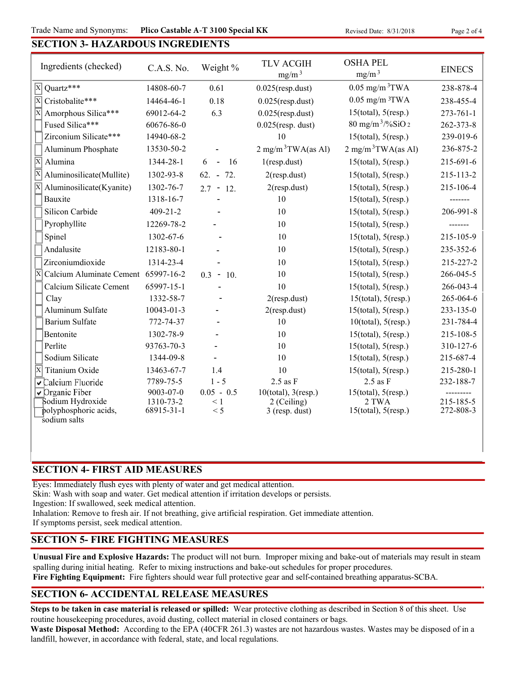Trade Name and Synonyms: Plico Castable A-T 3100 Special KK Revised Date: 8/31/2018 Page 2 of 4

# **SECTION 3- HAZARDOUS INGREDIENTS**

| Ingredients (checked)                                          | C.A.S. No.     | Weight %          | <b>TLV ACGIH</b><br>mg/m <sup>3</sup> | <b>OSHA PEL</b><br>mg/m <sup>3</sup> | <b>EINECS</b>   |
|----------------------------------------------------------------|----------------|-------------------|---------------------------------------|--------------------------------------|-----------------|
| Quartz***<br>$\vert$ X                                         | 14808-60-7     | 0.61              | $0.025$ (resp.dust)                   | $0.05$ mg/m $3$ TWA                  | 238-878-4       |
| $\overline{\mathrm{X}}$<br>Cristobalite***                     | 14464-46-1     | 0.18              | $0.025$ (resp.dust)                   | $0.05$ mg/m $3TWA$                   | 238-455-4       |
| $\overline{\mathbf{X}}$<br>Amorphous Silica***                 | 69012-64-2     | 6.3               | $0.025$ (resp.dust)                   | $15$ (total), $5$ (resp.)            | $273 - 761 - 1$ |
| Fused Silica***                                                | 60676-86-0     |                   | $0.025$ (resp. dust)                  | $80 \text{ mg/m}^3$ /%SiO 2          | 262-373-8       |
| Zirconium Silicate***                                          | 14940-68-2     |                   | 10                                    | $15$ (total), $5$ (resp.)            | 239-019-6       |
| Aluminum Phosphate                                             | 13530-50-2     |                   | $2 \text{ mg/m}^3$ TWA(as Al)         | $2 \text{ mg/m}^3$ TWA(as Al)        | 236-875-2       |
| $ \overline{x} $<br>Alumina                                    | 1344-28-1      | 6<br>16<br>$\sim$ | $1$ (resp.dust)                       | $15$ (total), $5$ (resp.)            | 215-691-6       |
| Aluminosilicate(Mullite)                                       | 1302-93-8      | $62. - 72.$       | $2$ (resp.dust)                       | $15$ (total), $5$ (resp.)            | 215-113-2       |
| Aluminosilicate(Kyanite)                                       | 1302-76-7      | $2.7 - 12.$       | $2$ (resp.dust)                       | $15$ (total), $5$ (resp.)            | 215-106-4       |
| Bauxite                                                        | 1318-16-7      |                   | 10                                    | $15$ (total), $5$ (resp.)            | -------         |
| Silicon Carbide                                                | $409 - 21 - 2$ |                   | 10                                    | $15$ (total), $5$ (resp.)            | 206-991-8       |
| Pyrophyllite                                                   | 12269-78-2     |                   | 10                                    | $15$ (total), $5$ (resp.)            | -------         |
| Spinel                                                         | 1302-67-6      |                   | 10                                    | $15$ (total), $5$ (resp.)            | 215-105-9       |
| Andalusite                                                     | 12183-80-1     |                   | 10                                    | $15$ (total), $5$ (resp.)            | 235-352-6       |
| Zirconiumdioxide                                               | 1314-23-4      |                   | 10                                    | $15$ (total), $5$ (resp.)            | 215-227-2       |
| $\overline{\mathrm{X}}$<br>Calcium Aluminate Cement 65997-16-2 |                | $0.3 - 10.$       | 10                                    | $15$ (total), $5$ (resp.)            | 266-045-5       |
| Calcium Silicate Cement                                        | 65997-15-1     |                   | 10                                    | $15$ (total), $5$ (resp.)            | 266-043-4       |
| Clay                                                           | 1332-58-7      |                   | $2$ (resp.dust)                       | $15$ (total), $5$ (resp.)            | 265-064-6       |
| Aluminum Sulfate                                               | 10043-01-3     |                   | $2$ (resp.dust)                       | $15$ (total), $5$ (resp.)            | 233-135-0       |
| <b>Barium Sulfate</b>                                          | 772-74-37      |                   | 10                                    | $10$ (total), $5$ (resp.)            | 231-784-4       |
| Bentonite                                                      | 1302-78-9      |                   | 10                                    | $15$ (total), $5$ (resp.)            | 215-108-5       |
| Perlite                                                        | 93763-70-3     |                   | 10                                    | $15$ (total), $5$ (resp.)            | 310-127-6       |
| Sodium Silicate                                                | 1344-09-8      |                   | 10                                    | $15$ (total), $5$ (resp.)            | 215-687-4       |
| ΙX<br>Titanium Oxide                                           | 13463-67-7     | 1.4               | 10                                    | $15$ (total), $5$ (resp.)            | 215-280-1       |
| Calcium Fluoride                                               | 7789-75-5      | $1 - 5$           | $2.5$ as $F$                          | $2.5$ as $F$                         | 232-188-7       |
| $\sqrt{2}$ Organic Fiber                                       | 9003-07-0      | $0.05 - 0.5$      | $10$ (total), $3$ (resp.)             | 15(total), 5(resp.)                  |                 |
| Sodium Hydroxide                                               | 1310-73-2      | $\leq 1$          | 2 (Ceiling)                           | 2 TWA                                | 215-185-5       |
| polyphosphoric acids,<br>sodium salts                          | 68915-31-1     | < 5               | $3$ (resp. dust)                      | $15$ (total), $5$ (resp.)            | 272-808-3       |

### **SECTION 4- FIRST AID MEASURES**

Eyes: Immediately flush eyes with plenty of water and get medical attention.

Skin: Wash with soap and water. Get medical attention if irritation develops or persists.

Ingestion: If swallowed, seek medical attention.

Inhalation: Remove to fresh air. If not breathing, give artificial respiration. Get immediate attention.

If symptoms persist, seek medical attention.

### **SECTION 5- FIRE FIGHTING MEASURES**

**Unusual Fire and Explosive Hazards:** The product will not burn. Improper mixing and bake-out of materials may result in steam spalling during initial heating. Refer to mixing instructions and bake-out schedules for proper procedures.

**Fire Fighting Equipment:** Fire fighters should wear full protective gear and self-contained breathing apparatus-SCBA.

## **SECTION 6- ACCIDENTAL RELEASE MEASURES**

**Steps to be taken in case material is released or spilled:** Wear protective clothing as described in Section 8 of this sheet. Use routine housekeeping procedures, avoid dusting, collect material in closed containers or bags.

**Waste Disposal Method:** According to the EPA (40CFR 261.3) wastes are not hazardous wastes. Wastes may be disposed of in a landfill, however, in accordance with federal, state, and local regulations.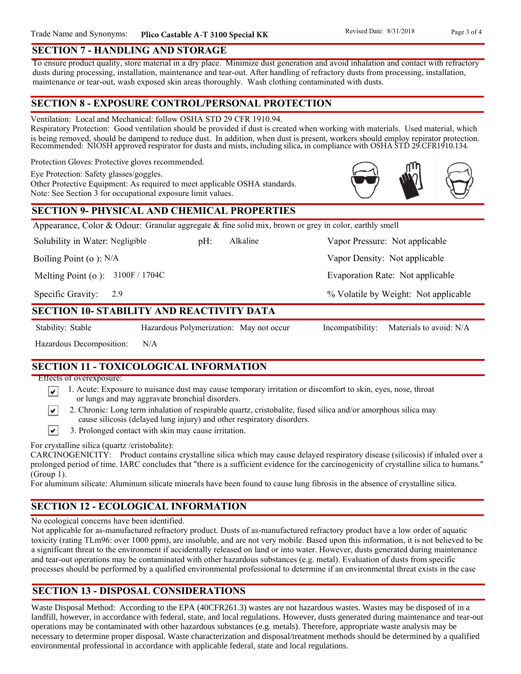#### **SECTION 7 - HANDLING AND STORAGE**

To ensure product quality, store material in a dry place. Minimize dust generation and avoid inhalation and contact with refractory dusts during processing, installation, maintenance and tear-out. After handling of refractory dusts from processing, installation, maintenance or tear-out, wash exposed skin areas thoroughly. Wash clothing contaminated with dusts.

### **SECTION 8 - EXPOSURE CONTROL/PERSONAL PROTECTION**

Ventilation: Local and Mechanical: follow OSHA STD 29 CFR 1910.94.

Respiratory Protection: Good ventilation should be provided if dust is created when working with materials. Used material, which is being removed, should be dampend to reduce dust. In addition, when dust is present, workers should employ repirator protection. Recommended: NIOSH approved respirator for dusts and mists, including silica, in compliance with OSHA STD 29.CFR1910.134.

Protection Gloves: Protective gloves recommended.

Eye Protection: Safety glasses/goggles.

Other Protective Equipment: As required to meet applicable OSHA standards. Note: See Section 3 for occupational exposure limit values.

### **SECTION 9- PHYSICAL AND CHEMICAL PROPERTIES**

Appearance, Color & Odour: Granular aggregate & fine solid mix, brown or grey in color, earthly smell

Solubility in Water: Negligible

pH: Alkaline Vapor Pressure: Not applicable Alkaline

Boiling Point (o ): N/A

Melting Point (o ): 3100F / 1704C

2.9 Specific Gravity:

### **SECTION 10- STABILITY AND REACTIVITY DATA**

∣V∣

Stability: Stable Hazardous Polymerization: May not occur Incompatibility: Materials to avoid: N/A

% Volatile by Weight: Not applicable

Vapor Density: Not applicable

Evaporation Rate: Not applicable

Hazardous Decomposition: N/A

# **SECTION 11 - TOXICOLOGICAL INFORMATION**

Effects of overexposure:

- 1. Acute: Exposure to nuisance dust may cause temporary irritation or discomfort to skin, eyes, nose, throat ∣V∣ or lungs and may aggravate bronchial disorders.
	- 2. Chronic: Long term inhalation of respirable quartz, cristobalite, fused silica and/or amorphous silica may cause silicosis (delayed lung injury) and other respiratory disorders.
- $\vert\mathbf{v}\vert$ 3. Prolonged contact with skin may cause irritation.

For crystalline silica (quartz /cristobalite):

CARCINOGENICITY: Product contains crystalline silica which may cause delayed respiratory disease (silicosis) if inhaled over a prolonged period of time. IARC concludes that "there is a sufficient evidence for the carcinogenicity of crystalline silica to humans." (Group 1).

For aluminum silicate: Aluminum silicate minerals have been found to cause lung fibrosis in the absence of crystalline silica.

# **SECTION 12 - ECOLOGICAL INFORMATION**

No ecological concerns have been identified.

Not applicable for as-manufactured refractory product. Dusts of as-manufactured refractory product have a low order of aquatic toxicity (rating TLm96: over 1000 ppm), are insoluble, and are not very mobile. Based upon this information, it is not believed to be a significant threat to the environment if accidentally released on land or into water. However, dusts generated during maintenance and tear-out operations may be contaminated with other hazardous substances (e.g. metal). Evaluation of dusts from specific processes should be performed by a qualified environmental professional to determine if an environmental threat exists in the case

## **SECTION 13 - DISPOSAL CONSIDERATIONS**

Waste Disposal Method: According to the EPA (40CFR261.3) wastes are not hazardous wastes. Wastes may be disposed of in a landfill, however, in accordance with federal, state, and local regulations. However, dusts generated during maintenance and tear-out operations may be contaminated with other hazardous substances (e.g. metals). Therefore, appropriate waste analysis may be necessary to determine proper disposal. Waste characterization and disposal/treatment methods should be determined by a qualified environmental professional in accordance with applicable federal, state and local regulations.